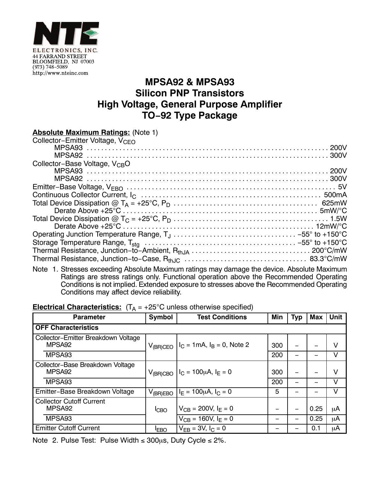

## **MPSA92 & MPSA93 Silicon PNP Transistors High Voltage, General Purpose Amplifier TO−92 Type Package**

Note 1. Stresses exceeding Absolute Maximum ratings may damage the device. Absolute Maximum Ratings are stress ratings only. Functional operation above the Recommended Operating Conditions is not implied. Extended exposure to stresses above the Recommended Operating Conditions may affect device reliability.

## **Electrical Characteristics:**  $(T_A = +25^{\circ}C$  unless otherwise specified)

| <b>Parameter</b>                                          | Symbol        | <b>Test Conditions</b>                                           | Min | <b>Typ</b> | <b>Max</b> | <b>Unit</b> |  |  |  |  |
|-----------------------------------------------------------|---------------|------------------------------------------------------------------|-----|------------|------------|-------------|--|--|--|--|
| <b>OFF Characteristics</b>                                |               |                                                                  |     |            |            |             |  |  |  |  |
| Collector-Emitter Breakdown Voltage<br>MPSA <sub>92</sub> |               | $V_{(BR)CEO}$   I <sub>C</sub> = 1mA, I <sub>B</sub> = 0, Note 2 | 300 |            |            | v           |  |  |  |  |
| MPSA <sub>93</sub>                                        |               |                                                                  | 200 |            |            | V           |  |  |  |  |
| Collector-Base Breakdown Voltage<br>MPSA <sub>92</sub>    |               | $V_{(BR)CBO}$   $I_C = 100 \mu A$ , $I_E = 0$                    | 300 |            |            | V           |  |  |  |  |
| MPSA93                                                    |               |                                                                  | 200 |            |            | v           |  |  |  |  |
| Emitter-Base Breakdown Voltage                            | $V_{(BR)EBO}$ | $I_E = 100 \mu A$ , $I_C = 0$                                    | 5   |            |            | v           |  |  |  |  |
| <b>Collector Cutoff Current</b><br>MPSA <sub>92</sub>     | <b>I</b> CBO  | $V_{CB} = 200V, I_F = 0$                                         |     |            | 0.25       | μA          |  |  |  |  |
| MPSA93                                                    |               | $V_{CB}$ = 160V, $I_F = 0$                                       |     |            | 0.25       | μA          |  |  |  |  |
| <b>Emitter Cutoff Current</b>                             | <b>IEBO</b>   | $V_{FB} = 3V, I_C = 0$                                           |     |            | 0.1        | μA          |  |  |  |  |

Note 2. Pulse Test: Pulse Width  $\leq$  300 $\mu$ s, Duty Cycle  $\leq$  2%.